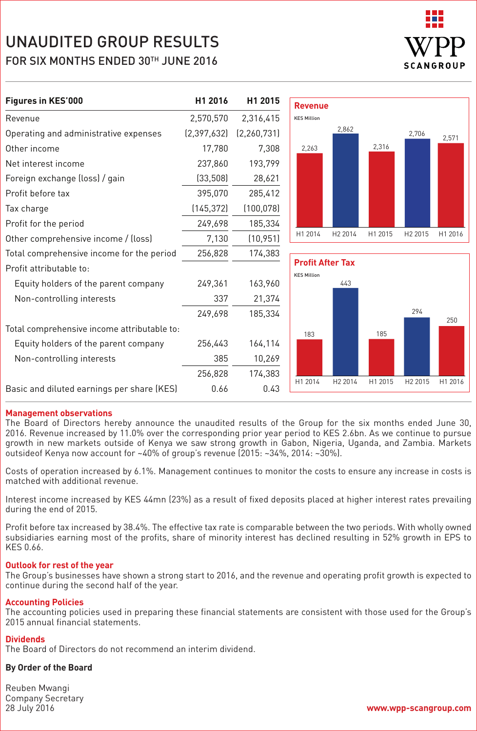

| Figures in KES'000                          | H1 2016       | H1 2015       | <b>Revenue</b>                                |                     |         |                     |         |
|---------------------------------------------|---------------|---------------|-----------------------------------------------|---------------------|---------|---------------------|---------|
| Revenue                                     | 2,570,570     | 2,316,415     | <b>KES Million</b>                            |                     |         |                     |         |
| Operating and administrative expenses       | (2, 397, 632) | (2, 260, 731) |                                               | 2,862               |         | 2,706               | 2,571   |
| Other income                                | 17,780        | 7,308         | 2,263                                         |                     | 2,316   |                     |         |
| Net interest income                         | 237,860       | 193,799       |                                               |                     |         |                     |         |
| Foreign exchange (loss) / gain              | (33, 508)     | 28,621        |                                               |                     |         |                     |         |
| Profit before tax                           | 395,070       | 285,412       |                                               |                     |         |                     |         |
| Tax charge                                  | (145, 372)    | (100, 078)    |                                               |                     |         |                     |         |
| Profit for the period                       | 249,698       | 185,334       |                                               |                     |         |                     |         |
| Other comprehensive income / (loss)         | 7,130         | (10, 951)     | H1 2014                                       | H2 2014             | H1 2015 | H <sub>2</sub> 2015 | H1 2016 |
| Total comprehensive income for the period   | 256,828       | 174,383       |                                               |                     |         |                     |         |
| Profit attributable to:                     |               |               | <b>Profit After Tax</b><br><b>KES Million</b> |                     |         |                     |         |
| Equity holders of the parent company        | 249,361       | 163,960       |                                               | 443                 |         |                     |         |
| Non-controlling interests                   | 337           | 21,374        |                                               |                     |         |                     |         |
|                                             | 249,698       | 185,334       |                                               |                     |         | 294                 | 250     |
| Total comprehensive income attributable to: |               |               | 183                                           |                     | 185     |                     |         |
| Equity holders of the parent company        | 256,443       | 164,114       |                                               |                     |         |                     |         |
| Non-controlling interests                   | 385           | 10,269        |                                               |                     |         |                     |         |
|                                             | 256,828       | 174,383       |                                               |                     |         |                     |         |
| Basic and diluted earnings per share (KES)  | 0.66          | 0.43          | H1 2014                                       | H <sub>2</sub> 2014 | H1 2015 | H <sub>2</sub> 2015 | H1 2016 |

#### **Management observations**

The Board of Directors hereby announce the unaudited results of the Group for the six months ended June 30, 2016. Revenue increased by 11.0% over the corresponding prior year period to KES 2.6bn. As we continue to pursue growth in new markets outside of Kenya we saw strong growth in Gabon, Nigeria, Uganda, and Zambia. Markets outsideof Kenya now account for ~40% of group's revenue (2015: ~34%, 2014: ~30%).

Costs of operation increased by 6.1%. Management continues to monitor the costs to ensure any increase in costs is matched with additional revenue.

Interest income increased by KES 44mn (23%) as a result of fixed deposits placed at higher interest rates prevailing during the end of 2015.

Profit before tax increased by 38.4%. The effective tax rate is comparable between the two periods. With wholly owned subsidiaries earning most of the profits, share of minority interest has declined resulting in 52% growth in EPS to KES 0.66.

#### **Outlook for rest of the year**

The Group's businesses have shown a strong start to 2016, and the revenue and operating profit growth is expected to continue during the second half of the year.

#### **Accounting Policies**

The accounting policies used in preparing these financial statements are consistent with those used for the Group's 2015 annual financial statements.

### **Dividends**

The Board of Directors do not recommend an interim dividend.

## **By Order of the Board**

Reuben Mwangi Company Secretary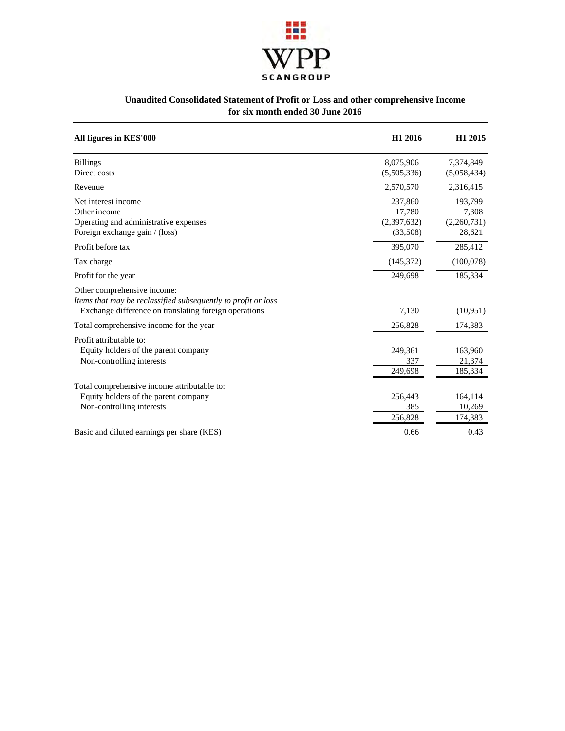

## **Unaudited Consolidated Statement of Profit or Loss and other comprehensive Income for six month ended 30 June 2016**

| All figures in KES'000                                                                                                                                | H1 2016                                      | H1 2015                                   |
|-------------------------------------------------------------------------------------------------------------------------------------------------------|----------------------------------------------|-------------------------------------------|
| <b>Billings</b><br>Direct costs                                                                                                                       | 8,075,906<br>(5,505,336)                     | 7,374,849<br>(5,058,434)                  |
| Revenue                                                                                                                                               | 2,570,570                                    | 2,316,415                                 |
| Net interest income<br>Other income<br>Operating and administrative expenses<br>Foreign exchange gain / (loss)                                        | 237,860<br>17,780<br>(2,397,632)<br>(33,508) | 193,799<br>7,308<br>(2,260,731)<br>28,621 |
| Profit before tax                                                                                                                                     | 395,070                                      | 285,412                                   |
| Tax charge                                                                                                                                            | (145,372)                                    | (100,078)                                 |
| Profit for the year                                                                                                                                   | 249,698                                      | 185,334                                   |
| Other comprehensive income:<br>Items that may be reclassified subsequently to profit or loss<br>Exchange difference on translating foreign operations | 7,130                                        | (10, 951)                                 |
| Total comprehensive income for the year                                                                                                               | 256,828                                      | 174,383                                   |
| Profit attributable to:<br>Equity holders of the parent company<br>Non-controlling interests                                                          | 249,361<br>337<br>249,698                    | 163,960<br>21,374<br>185,334              |
| Total comprehensive income attributable to:<br>Equity holders of the parent company<br>Non-controlling interests                                      | 256,443<br>385<br>256,828                    | 164,114<br>10,269<br>174,383              |
| Basic and diluted earnings per share (KES)                                                                                                            | 0.66                                         | 0.43                                      |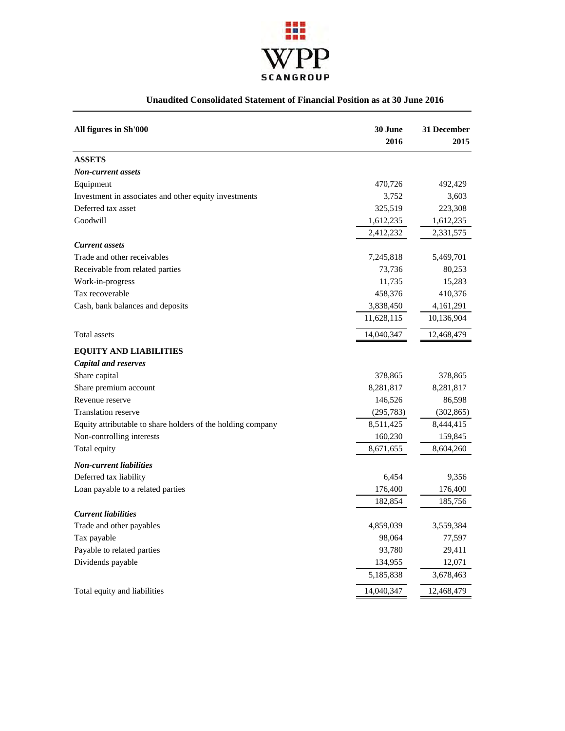

# **Unaudited Consolidated Statement of Financial Position as at 30 June 2016**

| All figures in Sh'000                                       | 30 June<br>2016 | 31 December<br>2015 |
|-------------------------------------------------------------|-----------------|---------------------|
| <b>ASSETS</b>                                               |                 |                     |
| Non-current assets                                          |                 |                     |
| Equipment                                                   | 470,726         | 492,429             |
| Investment in associates and other equity investments       | 3,752           | 3,603               |
| Deferred tax asset                                          | 325,519         | 223,308             |
| Goodwill                                                    | 1,612,235       | 1,612,235           |
|                                                             | 2,412,232       | 2,331,575           |
| <b>Current assets</b>                                       |                 |                     |
| Trade and other receivables                                 | 7,245,818       | 5,469,701           |
| Receivable from related parties                             | 73,736          | 80,253              |
| Work-in-progress                                            | 11,735          | 15,283              |
| Tax recoverable                                             | 458,376         | 410,376             |
| Cash, bank balances and deposits                            | 3,838,450       | 4,161,291           |
|                                                             | 11,628,115      | 10,136,904          |
| Total assets                                                | 14,040,347      | 12,468,479          |
| <b>EQUITY AND LIABILITIES</b>                               |                 |                     |
| <b>Capital and reserves</b>                                 |                 |                     |
| Share capital                                               | 378,865         | 378,865             |
| Share premium account                                       | 8,281,817       | 8,281,817           |
| Revenue reserve                                             | 146,526         | 86,598              |
| <b>Translation reserve</b>                                  | (295, 783)      | (302, 865)          |
| Equity attributable to share holders of the holding company | 8,511,425       | 8,444,415           |
| Non-controlling interests                                   | 160,230         | 159,845             |
| Total equity                                                | 8,671,655       | 8,604,260           |
| <b>Non-current liabilities</b>                              |                 |                     |
| Deferred tax liability                                      | 6,454           | 9,356               |
| Loan payable to a related parties                           | 176,400         | 176,400             |
|                                                             | 182,854         | 185,756             |
| <b>Current liabilities</b>                                  |                 |                     |
| Trade and other payables                                    | 4,859,039       | 3,559,384           |
| Tax payable                                                 | 98,064          | 77,597              |
| Payable to related parties                                  | 93,780          | 29,411              |
| Dividends payable                                           | 134,955         | 12,071              |
|                                                             | 5,185,838       | 3,678,463           |
| Total equity and liabilities                                | 14,040,347      | 12,468,479          |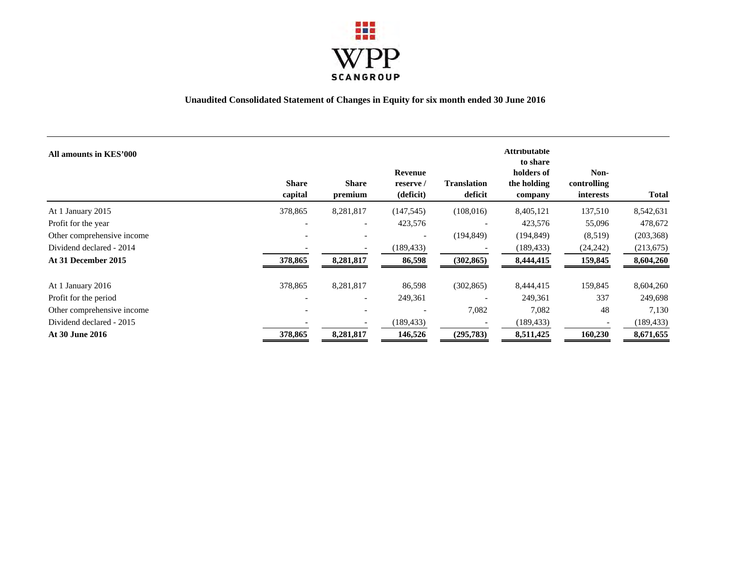

## **Unaudited Consolidated Statement of Changes in Equity for six month ended 30 June 2016**

| All amounts in KES'000     | <b>Share</b><br>capital  | <b>Share</b><br>premium  | Revenue<br>reserve/<br>(deficit) | <b>Translation</b><br>deficit | <b>Attributable</b><br>to share<br>holders of<br>the holding<br>company | Non-<br>controlling<br>interests | <b>Total</b> |
|----------------------------|--------------------------|--------------------------|----------------------------------|-------------------------------|-------------------------------------------------------------------------|----------------------------------|--------------|
| At 1 January 2015          | 378,865                  | 8,281,817                | (147, 545)                       | (108, 016)                    | 8,405,121                                                               | 137,510                          | 8,542,631    |
| Profit for the year        |                          | $\overline{\phantom{a}}$ | 423,576                          |                               | 423,576                                                                 | 55,096                           | 478,672      |
| Other comprehensive income |                          |                          |                                  | (194, 849)                    | (194, 849)                                                              | (8,519)                          | (203, 368)   |
| Dividend declared - 2014   |                          |                          | (189, 433)                       |                               | (189, 433)                                                              | (24, 242)                        | (213, 675)   |
| At 31 December 2015        | 378,865                  | 8,281,817                | 86,598                           | (302, 865)                    | 8,444,415                                                               | 159,845                          | 8,604,260    |
| At 1 January 2016          | 378,865                  | 8,281,817                | 86,598                           | (302, 865)                    | 8,444,415                                                               | 159,845                          | 8,604,260    |
| Profit for the period      | $\overline{\phantom{a}}$ | $\overline{\phantom{a}}$ | 249,361                          |                               | 249,361                                                                 | 337                              | 249,698      |
| Other comprehensive income |                          | $\overline{\phantom{a}}$ |                                  | 7,082                         | 7,082                                                                   | 48                               | 7,130        |
| Dividend declared - 2015   |                          |                          | (189, 433)                       |                               | (189, 433)                                                              |                                  | (189, 433)   |
| <b>At 30 June 2016</b>     | 378,865                  | 8,281,817                | 146,526                          | (295, 783)                    | 8,511,425                                                               | 160,230                          | 8,671,655    |